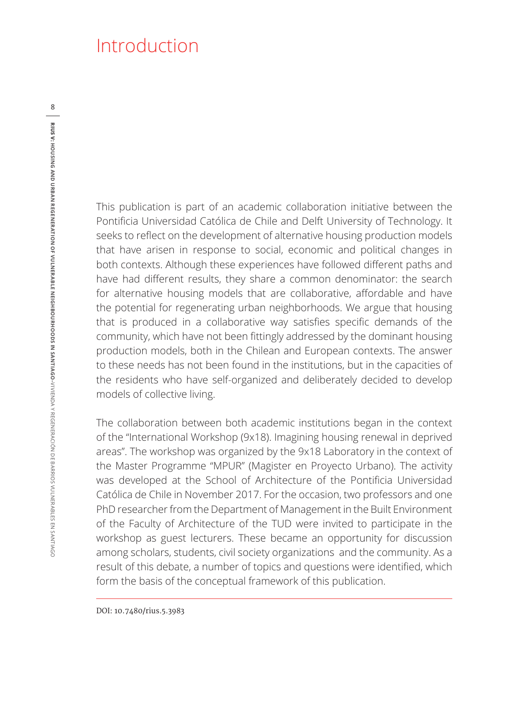## Introduction

This publication is part of an academic collaboration initiative between the Pontificia Universidad Católica de Chile and Delft University of Technology. It seeks to reflect on the development of alternative housing production models that have arisen in response to social, economic and political changes in both contexts. Although these experiences have followed different paths and have had different results, they share a common denominator: the search for alternative housing models that are collaborative, affordable and have the potential for regenerating urban neighborhoods. We argue that housing that is produced in a collaborative way satisfies specific demands of the community, which have not been fittingly addressed by the dominant housing production models, both in the Chilean and European contexts. The answer to these needs has not been found in the institutions, but in the capacities of the residents who have self-organized and deliberately decided to develop models of collective living.

The collaboration between both academic institutions began in the context of the "International Workshop (9x18). Imagining housing renewal in deprived areas". The workshop was organized by the 9x18 Laboratory in the context of the Master Programme "MPUR" (Magister en Proyecto Urbano). The activity was developed at the School of Architecture of the Pontificia Universidad Católica de Chile in November 2017. For the occasion, two professors and one PhD researcher from the Department of Management in the Built Environment of the Faculty of Architecture of the TUD were invited to participate in the workshop as guest lecturers. These became an opportunity for discussion among scholars, students, civil society organizations and the community. As a result of this debate, a number of topics and questions were identified, which form the basis of the conceptual framework of this publication.

**8**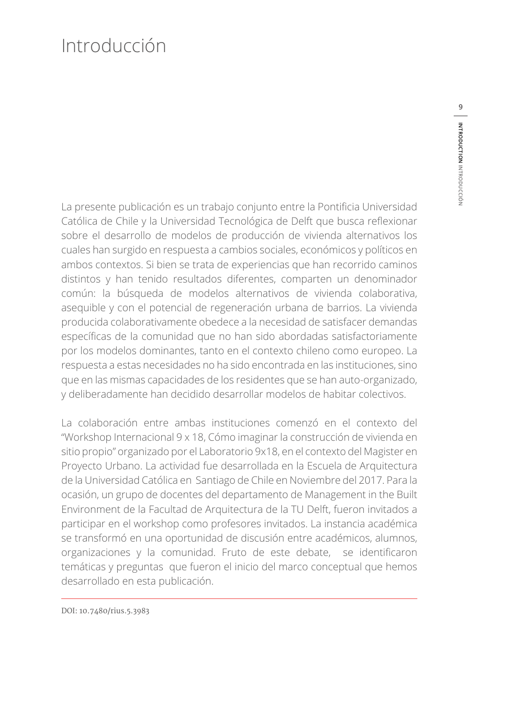## Introducción

La presente publicación es un trabajo conjunto entre la Pontificia Universidad Católica de Chile y la Universidad Tecnológica de Delft que busca reflexionar sobre el desarrollo de modelos de producción de vivienda alternativos los cuales han surgido en respuesta a cambios sociales, económicos y políticos en ambos contextos. Si bien se trata de experiencias que han recorrido caminos distintos y han tenido resultados diferentes, comparten un denominador común: la búsqueda de modelos alternativos de vivienda colaborativa, asequible y con el potencial de regeneración urbana de barrios. La vivienda producida colaborativamente obedece a la necesidad de satisfacer demandas específicas de la comunidad que no han sido abordadas satisfactoriamente por los modelos dominantes, tanto en el contexto chileno como europeo. La respuesta a estas necesidades no ha sido encontrada en las instituciones, sino que en las mismas capacidades de los residentes que se han auto-organizado, y deliberadamente han decidido desarrollar modelos de habitar colectivos.

La colaboración entre ambas instituciones comenzó en el contexto del "Workshop Internacional 9 x 18, Cómo imaginar la construcción de vivienda en sitio propio" organizado por el Laboratorio 9x18, en el contexto del Magister en Proyecto Urbano. La actividad fue desarrollada en la Escuela de Arquitectura de la Universidad Católica en Santiago de Chile en Noviembre del 2017. Para la ocasión, un grupo de docentes del departamento de Management in the Built Environment de la Facultad de Arquitectura de la TU Delft, fueron invitados a participar en el workshop como profesores invitados. La instancia académica se transformó en una oportunidad de discusión entre académicos, alumnos, organizaciones y la comunidad. Fruto de este debate, se identificaron temáticas y preguntas que fueron el inicio del marco conceptual que hemos desarrollado en esta publicación.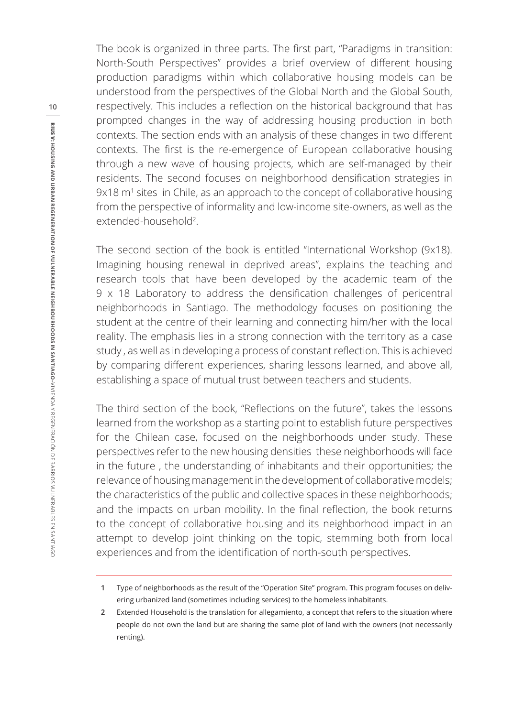The book is organized in three parts. The first part, "Paradigms in transition: North-South Perspectives" provides a brief overview of different housing production paradigms within which collaborative housing models can be understood from the perspectives of the Global North and the Global South, respectively. This includes a reflection on the historical background that has prompted changes in the way of addressing housing production in both contexts. The section ends with an analysis of these changes in two different contexts. The first is the re-emergence of European collaborative housing through a new wave of housing projects, which are self-managed by their residents. The second focuses on neighborhood densification strategies in 9x18 m1 sites in Chile, as an approach to the concept of collaborative housing from the perspective of informality and low-income site-owners, as well as the extended-household<sup>2</sup>.

The second section of the book is entitled "International Workshop (9x18). Imagining housing renewal in deprived areas", explains the teaching and research tools that have been developed by the academic team of the 9 x 18 Laboratory to address the densification challenges of pericentral neighborhoods in Santiago. The methodology focuses on positioning the student at the centre of their learning and connecting him/her with the local reality. The emphasis lies in a strong connection with the territory as a case study , as well as in developing a process of constant reflection. This is achieved by comparing different experiences, sharing lessons learned, and above all, establishing a space of mutual trust between teachers and students.

The third section of the book, "Reflections on the future", takes the lessons learned from the workshop as a starting point to establish future perspectives for the Chilean case, focused on the neighborhoods under study. These perspectives refer to the new housing densities these neighborhoods will face in the future , the understanding of inhabitants and their opportunities; the relevance of housing management in the development of collaborative models; the characteristics of the public and collective spaces in these neighborhoods; and the impacts on urban mobility. In the final reflection, the book returns to the concept of collaborative housing and its neighborhood impact in an attempt to develop joint thinking on the topic, stemming both from local experiences and from the identification of north-south perspectives.

**<sup>1</sup>** Type of neighborhoods as the result of the "Operation Site" program. This program focuses on delivering urbanized land (sometimes including services) to the homeless inhabitants.

**<sup>2</sup>** Extended Household is the translation for allegamiento, a concept that refers to the situation where people do not own the land but are sharing the same plot of land with the owners (not necessarily renting).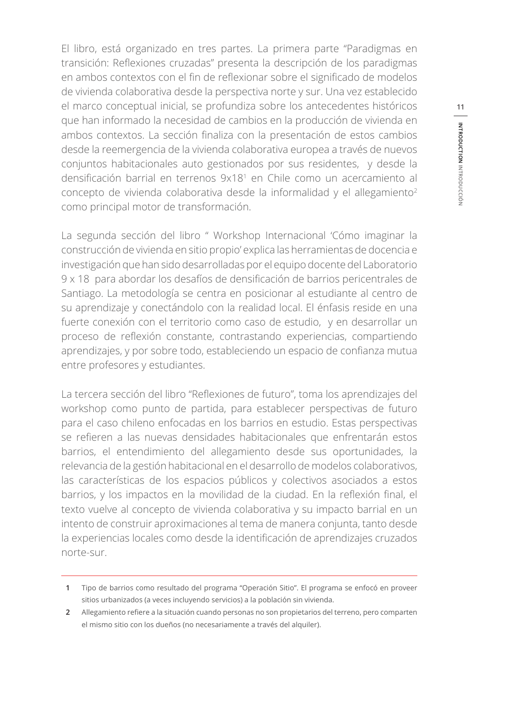El libro, está organizado en tres partes. La primera parte "Paradigmas en transición: Reflexiones cruzadas" presenta la descripción de los paradigmas en ambos contextos con el fin de reflexionar sobre el significado de modelos de vivienda colaborativa desde la perspectiva norte y sur. Una vez establecido el marco conceptual inicial, se profundiza sobre los antecedentes históricos que han informado la necesidad de cambios en la producción de vivienda en ambos contextos. La sección finaliza con la presentación de estos cambios desde la reemergencia de la vivienda colaborativa europea a través de nuevos conjuntos habitacionales auto gestionados por sus residentes, y desde la densificación barrial en terrenos 9x18<sup>1</sup> en Chile como un acercamiento al concepto de vivienda colaborativa desde la informalidad y el allegamiento<sup>2</sup> como principal motor de transformación.

La segunda sección del libro " Workshop Internacional 'Cómo imaginar la construcción de vivienda en sitio propio' explica las herramientas de docencia e investigación que han sido desarrolladas por el equipo docente del Laboratorio 9 x 18 para abordar los desafíos de densificación de barrios pericentrales de Santiago. La metodología se centra en posicionar al estudiante al centro de su aprendizaje y conectándolo con la realidad local. El énfasis reside en una fuerte conexión con el territorio como caso de estudio, y en desarrollar un proceso de reflexión constante, contrastando experiencias, compartiendo aprendizajes, y por sobre todo, estableciendo un espacio de confianza mutua entre profesores y estudiantes.

La tercera sección del libro "Reflexiones de futuro", toma los aprendizajes del workshop como punto de partida, para establecer perspectivas de futuro para el caso chileno enfocadas en los barrios en estudio. Estas perspectivas se refieren a las nuevas densidades habitacionales que enfrentarán estos barrios, el entendimiento del allegamiento desde sus oportunidades, la relevancia de la gestión habitacional en el desarrollo de modelos colaborativos, las características de los espacios públicos y colectivos asociados a estos barrios, y los impactos en la movilidad de la ciudad. En la reflexión final, el texto vuelve al concepto de vivienda colaborativa y su impacto barrial en un intento de construir aproximaciones al tema de manera conjunta, tanto desde la experiencias locales como desde la identificación de aprendizajes cruzados norte-sur.

**<sup>1</sup>** Tipo de barrios como resultado del programa "Operación Sitio". El programa se enfocó en proveer sitios urbanizados (a veces incluyendo servicios) a la población sin vivienda.

**<sup>2</sup>** Allegamiento refiere a la situación cuando personas no son propietarios del terreno, pero comparten el mismo sitio con los dueños (no necesariamente a través del alquiler).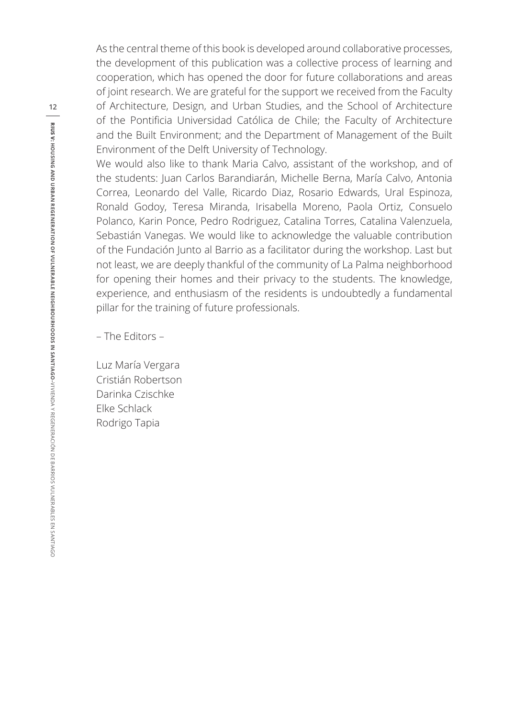As the central theme of this book is developed around collaborative processes, the development of this publication was a collective process of learning and cooperation, which has opened the door for future collaborations and areas of joint research. We are grateful for the support we received from the Faculty of Architecture, Design, and Urban Studies, and the School of Architecture of the Pontificia Universidad Católica de Chile; the Faculty of Architecture and the Built Environment; and the Department of Management of the Built Environment of the Delft University of Technology.

We would also like to thank Maria Calvo, assistant of the workshop, and of the students: Juan Carlos Barandiarán, Michelle Berna, María Calvo, Antonia Correa, Leonardo del Valle, Ricardo Diaz, Rosario Edwards, Ural Espinoza, Ronald Godoy, Teresa Miranda, Irisabella Moreno, Paola Ortiz, Consuelo Polanco, Karin Ponce, Pedro Rodriguez, Catalina Torres, Catalina Valenzuela, Sebastián Vanegas. We would like to acknowledge the valuable contribution of the Fundación Junto al Barrio as a facilitator during the workshop. Last but not least, we are deeply thankful of the community of La Palma neighborhood for opening their homes and their privacy to the students. The knowledge, experience, and enthusiasm of the residents is undoubtedly a fundamental pillar for the training of future professionals.

– The Editors –

Luz María Vergara Cristián Robertson Darinka Czischke Elke Schlack Rodrigo Tapia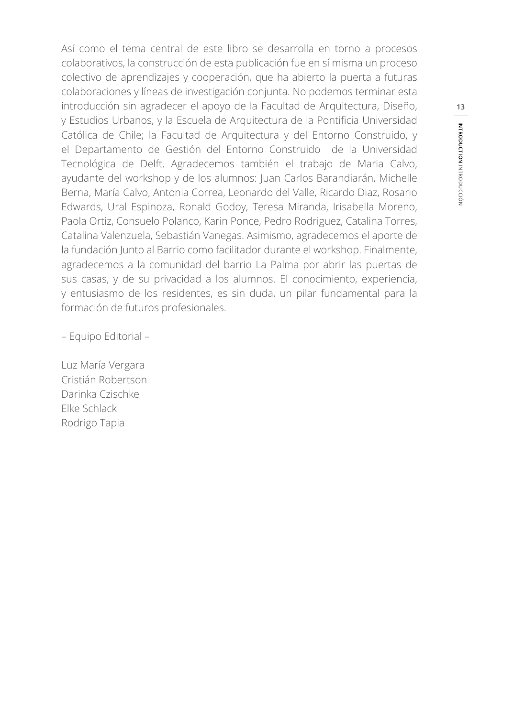Así como el tema central de este libro se desarrolla en torno a procesos colaborativos, la construcción de esta publicación fue en sí misma un proceso colectivo de aprendizajes y cooperación, que ha abierto la puerta a futuras colaboraciones y líneas de investigación conjunta. No podemos terminar esta introducción sin agradecer el apoyo de la Facultad de Arquitectura, Diseño, y Estudios Urbanos, y la Escuela de Arquitectura de la Pontificia Universidad Católica de Chile; la Facultad de Arquitectura y del Entorno Construido, y el Departamento de Gestión del Entorno Construido de la Universidad Tecnológica de Delft. Agradecemos también el trabajo de Maria Calvo, ayudante del workshop y de los alumnos: Juan Carlos Barandiarán, Michelle Berna, María Calvo, Antonia Correa, Leonardo del Valle, Ricardo Diaz, Rosario Edwards, Ural Espinoza, Ronald Godoy, Teresa Miranda, Irisabella Moreno, Paola Ortiz, Consuelo Polanco, Karin Ponce, Pedro Rodriguez, Catalina Torres, Catalina Valenzuela, Sebastián Vanegas. Asimismo, agradecemos el aporte de la fundación Junto al Barrio como facilitador durante el workshop. Finalmente, agradecemos a la comunidad del barrio La Palma por abrir las puertas de sus casas, y de su privacidad a los alumnos. El conocimiento, experiencia, y entusiasmo de los residentes, es sin duda, un pilar fundamental para la formación de futuros profesionales.

– Equipo Editorial –

Luz María Vergara Cristián Robertson Darinka Czischke Elke Schlack Rodrigo Tapia